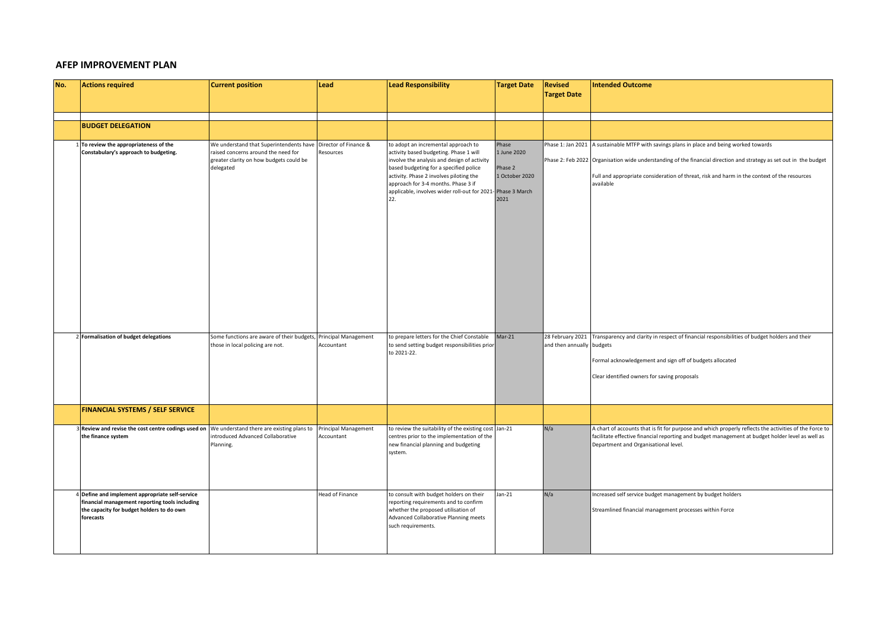## **AFEP IMPROVEMENT PLAN**

| No. | <b>Actions required</b>                                                                                                                                     | <b>Current position</b>                                                                                                                | Lead                               | <b>Lead Responsibility</b>                                                                                                                                                                                                                                                                                      | <b>Target Date</b>                                                         | <b>Revised</b>            | <b>Intended Outcome</b>                                                                                                                                                                                                                                                                                                     |
|-----|-------------------------------------------------------------------------------------------------------------------------------------------------------------|----------------------------------------------------------------------------------------------------------------------------------------|------------------------------------|-----------------------------------------------------------------------------------------------------------------------------------------------------------------------------------------------------------------------------------------------------------------------------------------------------------------|----------------------------------------------------------------------------|---------------------------|-----------------------------------------------------------------------------------------------------------------------------------------------------------------------------------------------------------------------------------------------------------------------------------------------------------------------------|
|     |                                                                                                                                                             |                                                                                                                                        |                                    |                                                                                                                                                                                                                                                                                                                 |                                                                            | <b>Target Date</b>        |                                                                                                                                                                                                                                                                                                                             |
|     |                                                                                                                                                             |                                                                                                                                        |                                    |                                                                                                                                                                                                                                                                                                                 |                                                                            |                           |                                                                                                                                                                                                                                                                                                                             |
|     | <b>BUDGET DELEGATION</b>                                                                                                                                    |                                                                                                                                        |                                    |                                                                                                                                                                                                                                                                                                                 |                                                                            |                           |                                                                                                                                                                                                                                                                                                                             |
|     | To review the appropriateness of the<br>Constabulary's approach to budgeting.                                                                               | We understand that Superintendents have<br>raised concerns around the need for<br>greater clarity on how budgets could be<br>delegated | Director of Finance &<br>Resources | to adopt an incremental approach to<br>activity based budgeting. Phase 1 will<br>involve the analysis and design of activity<br>based budgeting for a specified police<br>activity. Phase 2 involves piloting the<br>approach for 3-4 months. Phase 3 if<br>applicable, involves wider roll-out for 2021<br>22. | Phase<br>1 June 2020<br>Phase 2<br>1 October 2020<br>Phase 3 March<br>2021 |                           | Phase 1: Jan 2021 A sustainable MTFP with savings plans in place and being worked towards<br>Phase 2: Feb 2022 Organisation wide understanding of the financial direction and strategy as set out in the budget<br>Full and appropriate consideration of threat, risk and harm in the context of the resources<br>available |
|     | 2 Formalisation of budget delegations                                                                                                                       | Some functions are aware of their budgets, Principal Management<br>those in local policing are not.                                    | Accountant                         | to prepare letters for the Chief Constable<br>to send setting budget responsibilities prior<br>to 2021-22.                                                                                                                                                                                                      | $Mar-21$                                                                   | and then annually budgets | 28 February 2021 Transparency and clarity in respect of financial responsibilities of budget holders and their<br>Formal acknowledgement and sign off of budgets allocated<br>Clear identified owners for saving proposals                                                                                                  |
|     | <b>FINANCIAL SYSTEMS / SELF SERVICE</b>                                                                                                                     |                                                                                                                                        |                                    |                                                                                                                                                                                                                                                                                                                 |                                                                            |                           |                                                                                                                                                                                                                                                                                                                             |
|     | 3 Review and revise the cost centre codings used on We understand there are existing plans to Principal Management<br>the finance system                    | introduced Advanced Collaborative<br>Planning.                                                                                         | Accountant                         | to review the suitability of the existing cost Jan-21<br>centres prior to the implementation of the<br>new financial planning and budgeting<br>system.                                                                                                                                                          |                                                                            | N/a                       | A chart of accounts that is fit for purpose and which properly reflects the activities of the Force to<br>facilitate effective financial reporting and budget management at budget holder level as well as<br>Department and Organisational level.                                                                          |
|     | 4 Define and implement appropriate self-service<br>financial management reporting tools including<br>the capacity for budget holders to do own<br>forecasts |                                                                                                                                        | <b>Head of Finance</b>             | to consult with budget holders on their<br>reporting requirements and to confirm<br>whether the proposed utilisation of<br>Advanced Collaborative Planning meets<br>such requirements.                                                                                                                          | $Jan-21$                                                                   | N/a                       | Increased self service budget management by budget holders<br>Streamlined financial management processes within Force                                                                                                                                                                                                       |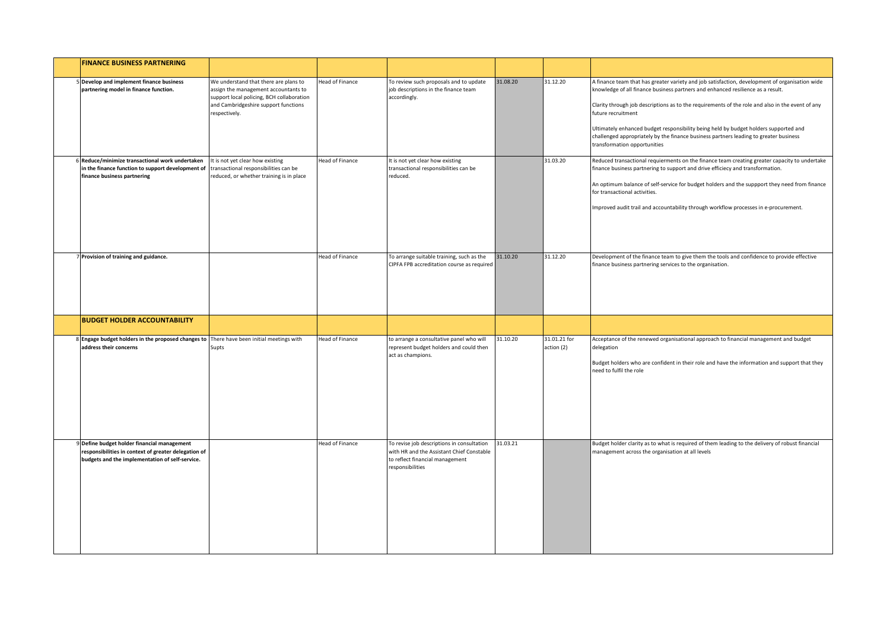| <b>FINANCE BUSINESS PARTNERING</b>                                                                                                                     |                                                                                                                                                                                     |                        |                                                                                                                                               |          |                            |                                                                                                                                                                                                                                                                                                                                                                                                                                                                                                                              |
|--------------------------------------------------------------------------------------------------------------------------------------------------------|-------------------------------------------------------------------------------------------------------------------------------------------------------------------------------------|------------------------|-----------------------------------------------------------------------------------------------------------------------------------------------|----------|----------------------------|------------------------------------------------------------------------------------------------------------------------------------------------------------------------------------------------------------------------------------------------------------------------------------------------------------------------------------------------------------------------------------------------------------------------------------------------------------------------------------------------------------------------------|
| 5 Develop and implement finance business<br>partnering model in finance function.                                                                      | We understand that there are plans to<br>assign the management accountants to<br>support local policing, BCH collaboration<br>and Cambridgeshire support functions<br>respectively. | <b>Head of Finance</b> | To review such proposals and to update<br>job descriptions in the finance team<br>accordingly.                                                | 31.08.20 | 31.12.20                   | A finance team that has greater variety and job satisfaction, development of organisation wide<br>knowledge of all finance business partners and enhanced resilience as a result.<br>Clarity through job descriptions as to the requirements of the role and also in the event of any<br>future recruitment<br>Ultimately enhanced budget responsibility being held by budget holders supported and<br>challenged appropriately by the finance business partners leading to greater business<br>transformation opportunities |
| Reduce/minimize transactional work undertaken<br>in the finance function to support development of<br>finance business partnering                      | It is not yet clear how existing<br>transactional responsibilities can be<br>reduced, or whether training is in place                                                               | <b>Head of Finance</b> | It is not yet clear how existing<br>transactional responsibilities can be<br>reduced.                                                         |          | 31.03.20                   | Reduced transactional requierments on the finance team creating greater capacity to undertake<br>finance business partnering to support and drive efficiecy and transformation.<br>An optimum balance of self-service for budget holders and the suppport they need from finance<br>for transactional activities.<br>Improved audit trail and accountability through workflow processes in e-procurement.                                                                                                                    |
| 7 Provision of training and guidance.                                                                                                                  |                                                                                                                                                                                     | <b>Head of Finance</b> | To arrange suitable training, such as the<br>CIPFA FPB accreditation course as required                                                       | 31.10.20 | 31.12.20                   | Development of the finance team to give them the tools and confidence to provide effective<br>finance business partnering services to the organisation.                                                                                                                                                                                                                                                                                                                                                                      |
| <b>BUDGET HOLDER ACCOUNTABILITY</b>                                                                                                                    |                                                                                                                                                                                     |                        |                                                                                                                                               |          |                            |                                                                                                                                                                                                                                                                                                                                                                                                                                                                                                                              |
| 8 Engage budget holders in the proposed changes to There have been initial meetings with<br>address their concerns                                     | Supts                                                                                                                                                                               | <b>Head of Finance</b> | to arrange a consultative panel who will<br>represent budget holders and could then<br>act as champions.                                      | 31.10.20 | 31.01.21 for<br>action (2) | Acceptance of the renewed organisational approach to financial management and budget<br>delegation<br>Budget holders who are confident in their role and have the information and support that they<br>need to fulfil the role                                                                                                                                                                                                                                                                                               |
| 9 Define budget holder financial management<br>responsibilities in context of greater delegation of<br>budgets and the implementation of self-service. |                                                                                                                                                                                     | <b>Head of Finance</b> | To revise job descriptions in consultation<br>with HR and the Assistant Chief Constable<br>to reflect financial management<br>esponsibilities | 31.03.21 |                            | Budget holder clarity as to what is required of them leading to the delivery of robust financial<br>management across the organisation at all levels                                                                                                                                                                                                                                                                                                                                                                         |